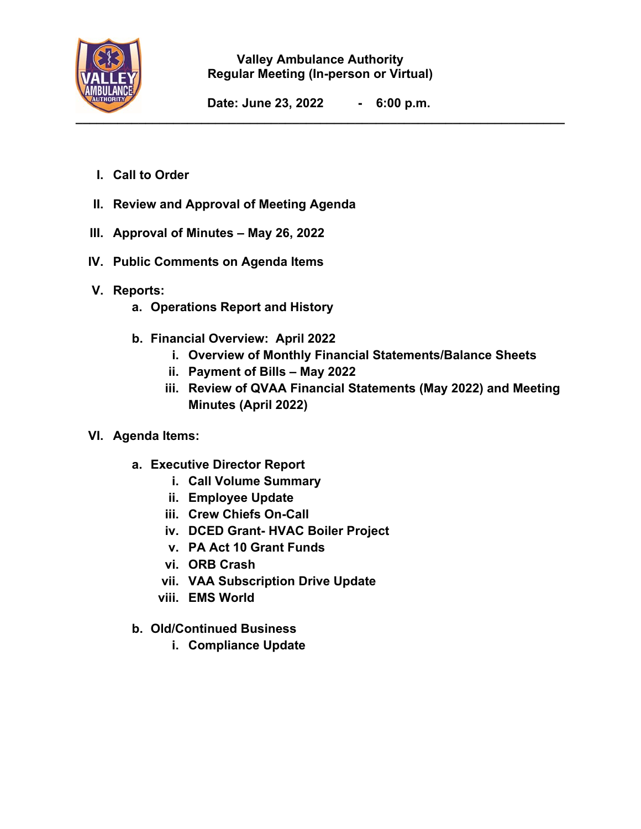

#### **Valley Ambulance Authority Regular Meeting (In-person or Virtual)**

**Date: June 23, 2022 - 6:00 p.m.** 

- **I. Call to Order**
- **II. Review and Approval of Meeting Agenda**
- **III. Approval of Minutes May 26, 2022**
- **IV. Public Comments on Agenda Items**
- **V. Reports:** 
	- **a. Operations Report and History**
	- **b. Financial Overview: April 2022** 
		- **i. Overview of Monthly Financial Statements/Balance Sheets**
		- **ii. Payment of Bills May 2022**
		- **iii. Review of QVAA Financial Statements (May 2022) and Meeting Minutes (April 2022)**
- **VI. Agenda Items:** 
	- **a. Executive Director Report** 
		- **i. Call Volume Summary**
		- **ii. Employee Update**
		- **iii. Crew Chiefs On-Call**
		- **iv. DCED Grant- HVAC Boiler Project**
		- **v. PA Act 10 Grant Funds**
		- **vi. ORB Crash**
		- **vii. VAA Subscription Drive Update**
		- **viii. EMS World**
	- **b. Old/Continued Business** 
		- **i. Compliance Update**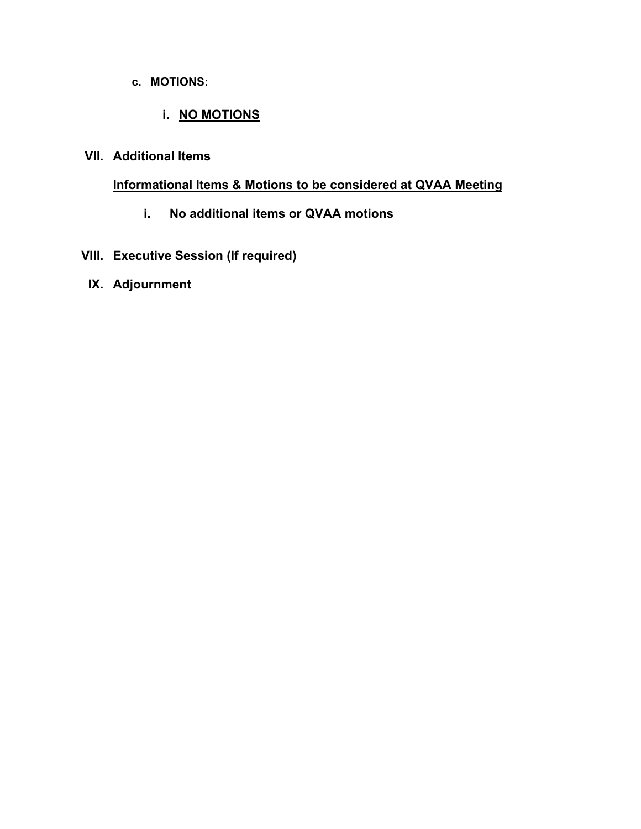#### **c. MOTIONS:**

#### **i. NO MOTIONS**

## **VII. Additional Items**

#### **Informational Items & Motions to be considered at QVAA Meeting**

**i. No additional items or QVAA motions** 

# **VIII. Executive Session (If required)**

### **IX. Adjournment**